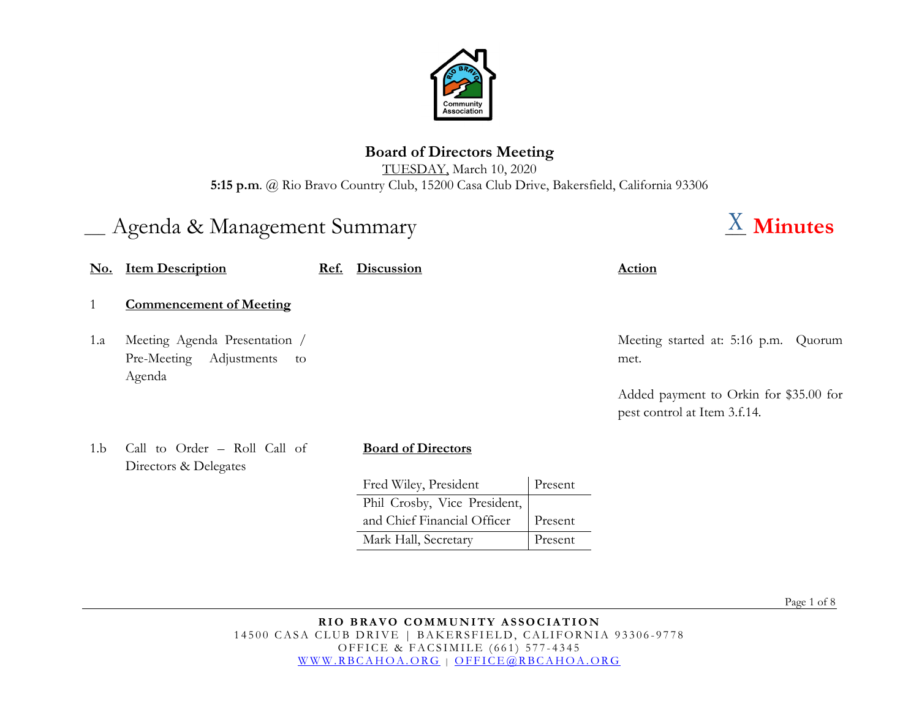

## **Board of Directors Meeting**

TUESDAY, March 10, 2020 **5:15 p.m**. @ Rio Bravo Country Club, 15200 Casa Club Drive, Bakersfield, California 93306

# \_\_\_ Agenda & Management Summary \_\_\_ **Minutes**

| <u>No.</u> | <b>Item Description</b>                                                     | <u>Ref.</u> | <b>Discussion</b>            |         | <b>Action</b>                                                          |
|------------|-----------------------------------------------------------------------------|-------------|------------------------------|---------|------------------------------------------------------------------------|
|            | <b>Commencement of Meeting</b>                                              |             |                              |         |                                                                        |
| 1.a        | Meeting Agenda Presentation /<br>Pre-Meeting<br>Adjustments<br>to<br>Agenda |             |                              |         | Meeting started at: 5:16 p.m.<br>Quorum<br>met.                        |
|            |                                                                             |             |                              |         | Added payment to Orkin for \$35.00 for<br>pest control at Item 3.f.14. |
| 1.b        | Call to Order - Roll Call of<br>Directors & Delegates                       |             | <b>Board of Directors</b>    |         |                                                                        |
|            |                                                                             |             | Fred Wiley, President        | Present |                                                                        |
|            |                                                                             |             | Phil Crosby, Vice President, |         |                                                                        |
|            |                                                                             |             | and Chief Financial Officer  | Present |                                                                        |
|            |                                                                             |             | Mark Hall, Secretary         | Present |                                                                        |

Page 1 of 8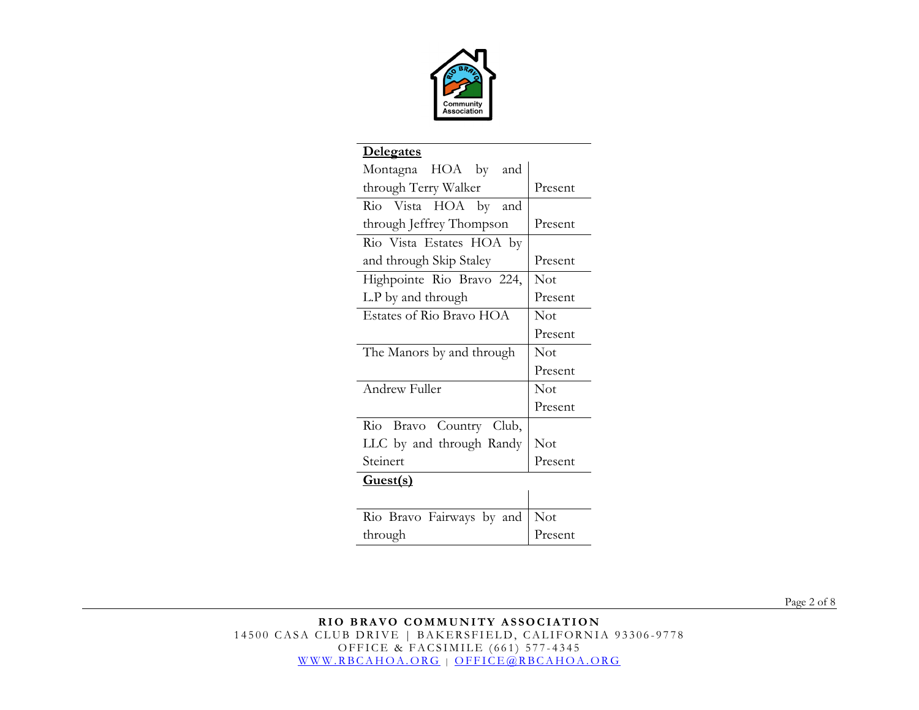

| <u>Delegates</u>          |         |  |
|---------------------------|---------|--|
| Montagna HOA by and       |         |  |
| through Terry Walker      | Present |  |
| Rio Vista HOA by and      |         |  |
| through Jeffrey Thompson  | Present |  |
| Rio Vista Estates HOA by  |         |  |
| and through Skip Staley   | Present |  |
| Highpointe Rio Bravo 224, | Not     |  |
| L.P by and through        | Present |  |
| Estates of Rio Bravo HOA  | Not     |  |
|                           | Present |  |
| The Manors by and through | Not     |  |
|                           | Present |  |
| Andrew Fuller             | Not     |  |
|                           | Present |  |
| Rio Bravo Country Club,   |         |  |
| LLC by and through Randy  | Not     |  |
| Steinert                  | Present |  |
| Guest(s)                  |         |  |
|                           |         |  |
| Rio Bravo Fairways by and | Not     |  |
| through                   | Present |  |

Page 2 of 8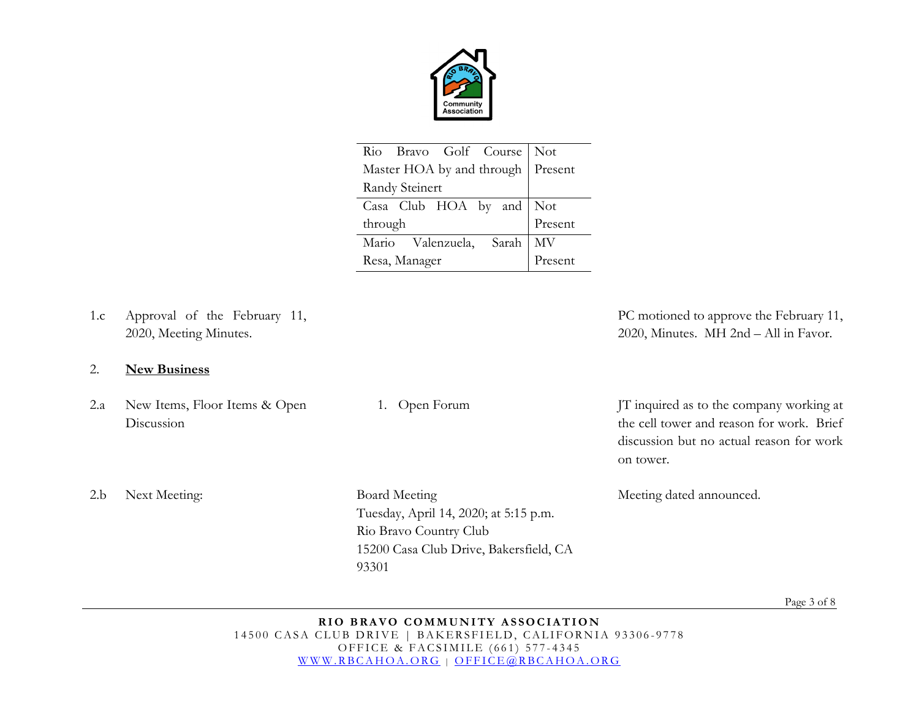

| Rio Bravo Golf Course Not           |         |
|-------------------------------------|---------|
| Master HOA by and through   Present |         |
| Randy Steinert                      |         |
| Casa Club HOA by and Not            |         |
| through                             | Present |
| Mario Valenzuela, Sarah             | MV      |
| Resa, Manager                       | Present |

1.c Approval of the February 11, 2020, Meeting Minutes.

#### 2. **New Business**

2.a New Items, Floor Items & Open Discussion

PC motioned to approve the February 11, 2020, Minutes. MH 2nd – All in Favor.

1. Open Forum JT inquired as to the company working at the cell tower and reason for work. Brief discussion but no actual reason for work on tower.

Meeting dated announced.

2.b Next Meeting: Board Meeting

Tuesday, April 14, 2020; at 5:15 p.m. Rio Bravo Country Club 15200 Casa Club Drive, Bakersfield, CA 93301

Page 3 of 8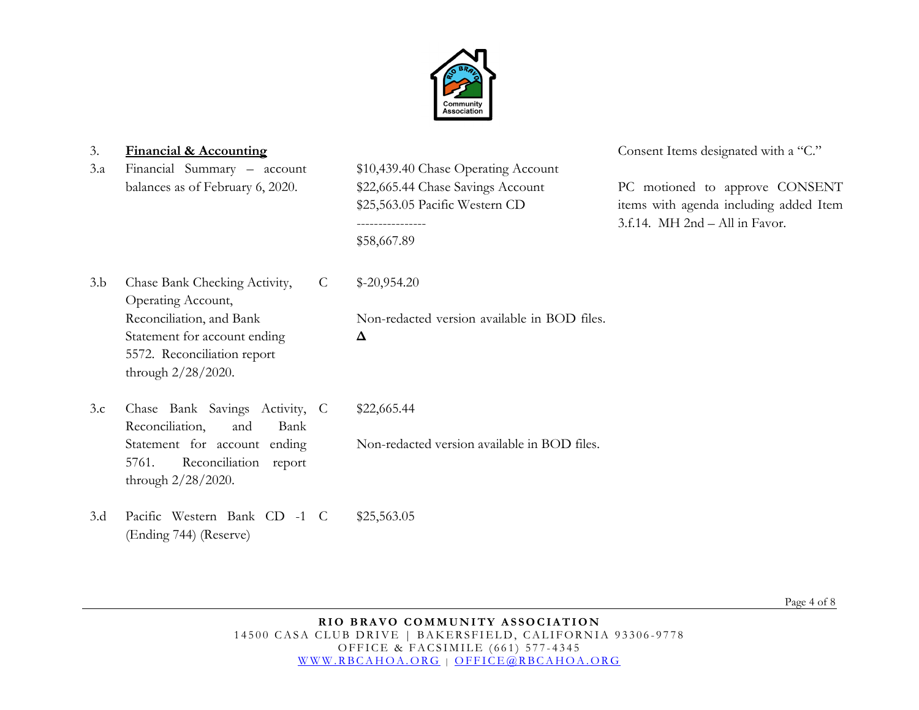

3.a Financial Summary – account balances as of February 6, 2020.

\$10,439.40 Chase Operating Account \$22,665.44 Chase Savings Account \$25,563.05 Pacific Western CD ---------------- \$58,667.89

3. **Financial & Accounting** Consent Items designated with a "C."

PC motioned to approve CONSENT items with agenda including added Item 3.f.14. MH 2nd – All in Favor.

3.b Chase Bank Checking Activity, Operating Account, Reconciliation, and Bank Statement for account ending 5572. Reconciliation report through 2/28/2020.

C \$-20,954.20

Non-redacted version available in BOD files.

**Δ**

- 3.c Chase Bank Savings Activity, Reconciliation, and Bank Statement for account ending 5761. Reconciliation report through 2/28/2020. \$22,665.44 Non-redacted version available in BOD files.
- 3.d Pacific Western Bank CD -1 (Ending 744) (Reserve) \$25,563.05

Page 4 of 8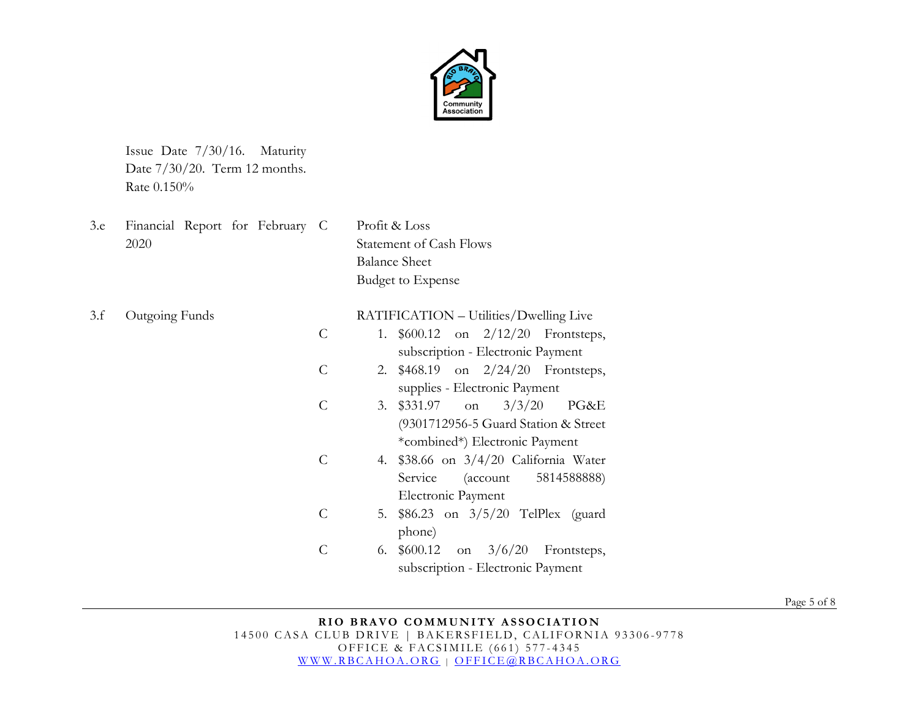

Issue Date 7/30/16. Maturity Date 7/30/20. Term 12 months. Rate 0.150%

| 3.e | Financial Report for February C |               | Profit & Loss                           |
|-----|---------------------------------|---------------|-----------------------------------------|
|     | 2020                            |               | <b>Statement of Cash Flows</b>          |
|     |                                 |               | <b>Balance Sheet</b>                    |
|     |                                 |               | <b>Budget to Expense</b>                |
| 3.f | Outgoing Funds                  |               | RATIFICATION – Utilities/Dwelling Live  |
|     |                                 | $\mathcal{C}$ | 1. $$600.12$ on $2/12/20$ Frontsteps,   |
|     |                                 |               | subscription - Electronic Payment       |
|     |                                 | $\mathcal{C}$ | 2. \$468.19 on 2/24/20 Frontsteps,      |
|     |                                 |               | supplies - Electronic Payment           |
|     |                                 | $\mathcal{C}$ | 3/3/20<br>3. \$331.97<br>PG&E<br>on     |
|     |                                 |               | (9301712956-5 Guard Station & Street)   |
|     |                                 |               | *combined*) Electronic Payment          |
|     |                                 | $\mathcal{C}$ | 4. \$38.66 on 3/4/20 California Water   |
|     |                                 |               | 5814588888)<br>Service<br>(account)     |
|     |                                 |               | Electronic Payment                      |
|     |                                 | $\mathcal{C}$ | 5. \$86.23 on 3/5/20 TelPlex (guard     |
|     |                                 |               | phone)                                  |
|     |                                 | $\mathcal{C}$ | 6. $$600.12$ on $3/6/20$<br>Frontsteps, |
|     |                                 |               | subscription - Electronic Payment       |

Page 5 of 8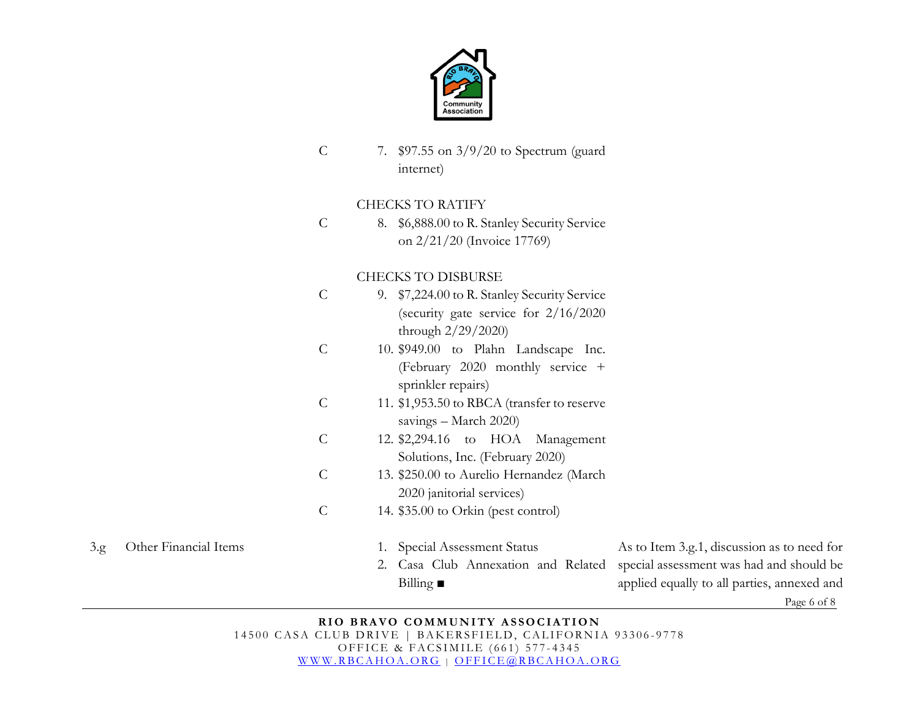

C 7. \$97.55 on 3/9/20 to Spectrum (guard internet)

#### CHECKS TO RATIFY

 $\mathcal{C}$ 8. \$6,888.00 to R. Stanley Security Service on 2/21/20 (Invoice 17769)

### CHECKS TO DISBURSE

- C 9. \$7,224.00 to R. Stanley Security Service (security gate service for 2/16/2020 through 2/29/2020)
- C 10. \$949.00 to Plahn Landscape Inc. (February 2020 monthly service + sprinkler repairs)
- C 11. \$1,953.50 to RBCA (transfer to reserve savings – March 2020)
- C 12. \$2,294.16 to HOA Management Solutions, Inc. (February 2020)
- C 13. \$250.00 to Aurelio Hernandez (March 2020 janitorial services)
- $\mathcal{C}$ 14. \$35.00 to Orkin (pest control)

- 
- 3.g Other Financial Items 1. Special Assessment Status
	- 2. Casa Club Annexation and Related special assessment was had and should be Billing **■**

As to Item 3.g.1, discussion as to need for applied equally to all parties, annexed and

Page 6 of 8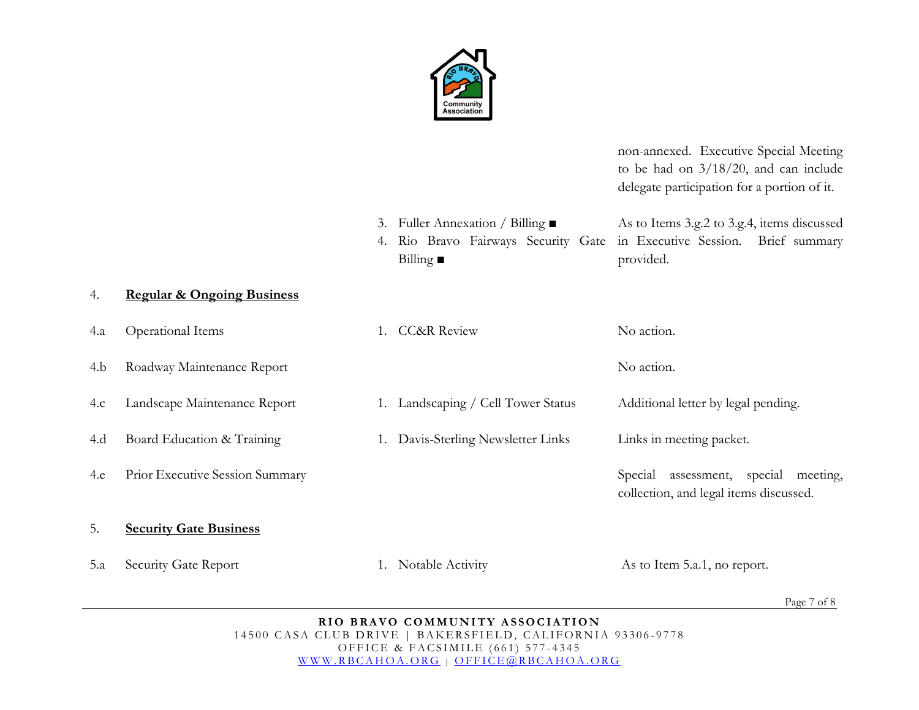

non-annexed. Executive Special Meeting to be had on 3/18/20, and can include delegate participation for a portion of it.

3. Fuller Annexation / Billing ■ 4. Rio Bravo Fairways Security Gate in Executive Session. Brief summary Billing **■**  As to Items 3.g.2 to 3.g.4, items discussed provided.

#### 4. **Regular & Ongoing Business**

| 4.a | Operational Items               | 1. CC&R Review                  | No action.                                                                           |
|-----|---------------------------------|---------------------------------|--------------------------------------------------------------------------------------|
| 4.b | Roadway Maintenance Report      |                                 | No action.                                                                           |
| 4.c | Landscape Maintenance Report    | Landscaping / Cell Tower Status | Additional letter by legal pending.                                                  |
| 4.d | Board Education & Training      | Davis-Sterling Newsletter Links | Links in meeting packet.                                                             |
| 4.e | Prior Executive Session Summary |                                 | assessment, special<br>Special<br>meeting,<br>collection, and legal items discussed. |
| 5.  | <b>Security Gate Business</b>   |                                 |                                                                                      |
| 5.a | Security Gate Report            | Notable Activity                | As to Item 5.a.1, no report.                                                         |

Page 7 of 8